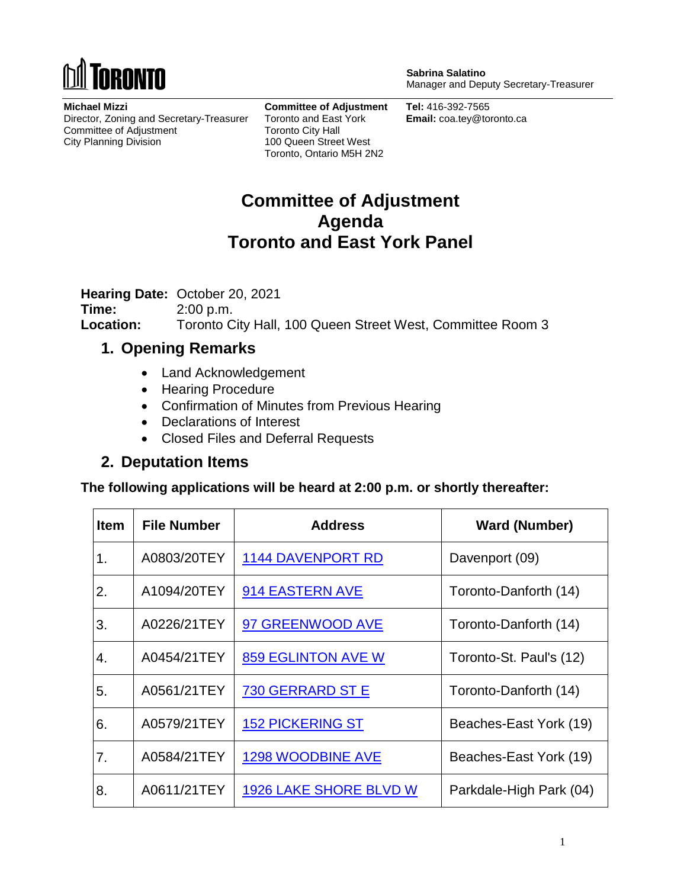

**Michael Mizzi** Director, Zoning and Secretary-Treasurer Committee of Adjustment City Planning Division

**Committee of Adjustment** Toronto and East York Toronto City Hall 100 Queen Street West Toronto, Ontario M5H 2N2

**Sabrina Salatino** Manager and Deputy Secretary-Treasurer

**Tel:** 416-392-7565 **Email:** coa.tey@toronto.ca

## **Committee of Adjustment Agenda Toronto and East York Panel**

**Hearing Date:** October 20, 2021

**Time:** 2:00 p.m. **Location:** Toronto City Hall, 100 Queen Street West, Committee Room 3

## **1. Opening Remarks**

- Land Acknowledgement
- Hearing Procedure
- Confirmation of Minutes from Previous Hearing
- Declarations of Interest
- Closed Files and Deferral Requests

## **2. Deputation Items**

**The following applications will be heard at 2:00 p.m. or shortly thereafter:**

| <b>Item</b> | <b>File Number</b> | <b>Address</b>                | <b>Ward (Number)</b>    |
|-------------|--------------------|-------------------------------|-------------------------|
| 1.          | A0803/20TEY        | <b>1144 DAVENPORT RD</b>      | Davenport (09)          |
| 2.          | A1094/20TEY        | 914 EASTERN AVE               | Toronto-Danforth (14)   |
| 3.          | A0226/21TEY        | 97 GREENWOOD AVE              | Toronto-Danforth (14)   |
| 4.          | A0454/21TEY        | <b>859 EGLINTON AVE W</b>     | Toronto-St. Paul's (12) |
| 5.          | A0561/21TEY        | 730 GERRARD ST E              | Toronto-Danforth (14)   |
| 6.          | A0579/21TEY        | <b>152 PICKERING ST</b>       | Beaches-East York (19)  |
| 7.          | A0584/21TEY        | 1298 WOODBINE AVE             | Beaches-East York (19)  |
| 8.          | A0611/21TEY        | <b>1926 LAKE SHORE BLVD W</b> | Parkdale-High Park (04) |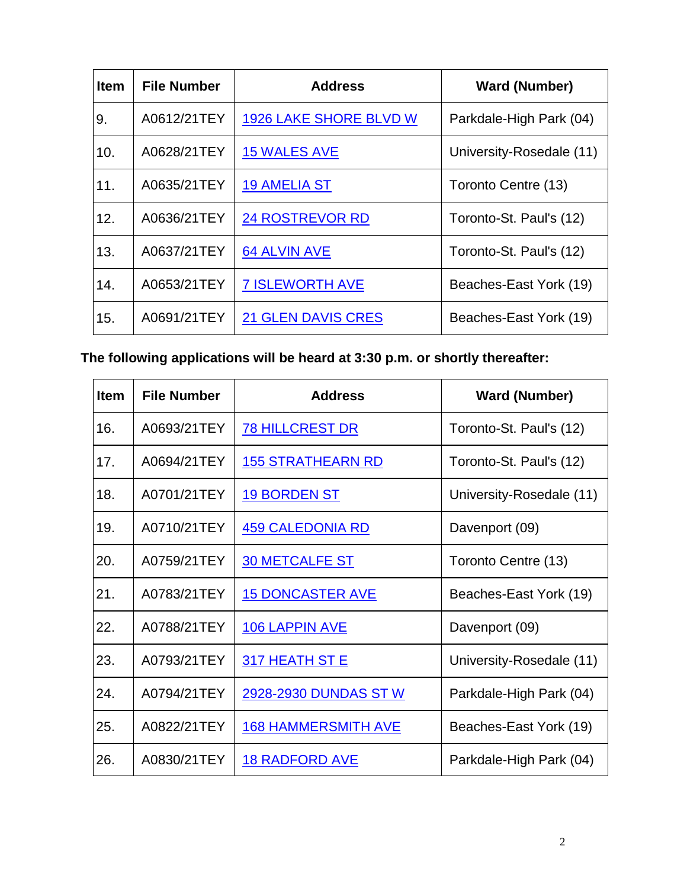| <b>Item</b> | <b>File Number</b> | <b>Address</b>                | <b>Ward (Number)</b>     |
|-------------|--------------------|-------------------------------|--------------------------|
| 9.          | A0612/21TEY        | <b>1926 LAKE SHORE BLVD W</b> | Parkdale-High Park (04)  |
| 10.         | A0628/21TEY        | <b>15 WALES AVE</b>           | University-Rosedale (11) |
| 11.         | A0635/21TEY        | <b>19 AMELIA ST</b>           | Toronto Centre (13)      |
| 12.         | A0636/21TEY        | <b>24 ROSTREVOR RD</b>        | Toronto-St. Paul's (12)  |
| 13.         | A0637/21TEY        | <b>64 ALVIN AVE</b>           | Toronto-St. Paul's (12)  |
| 14.         | A0653/21TEY        | <b>7 ISLEWORTH AVE</b>        | Beaches-East York (19)   |
| 15.         | A0691/21TEY        | <b>21 GLEN DAVIS CRES</b>     | Beaches-East York (19)   |

**The following applications will be heard at 3:30 p.m. or shortly thereafter:**

| <b>Item</b> | <b>File Number</b> | <b>Address</b>             | <b>Ward (Number)</b>     |
|-------------|--------------------|----------------------------|--------------------------|
| 16.         | A0693/21TEY        | <b>78 HILLCREST DR</b>     | Toronto-St. Paul's (12)  |
| 17.         | A0694/21TEY        | <u>155 STRATHEARN RD</u>   | Toronto-St. Paul's (12)  |
| 18.         | A0701/21TEY        | <b>19 BORDEN ST</b>        | University-Rosedale (11) |
| 19.         | A0710/21TEY        | <b>459 CALEDONIA RD</b>    | Davenport (09)           |
| 20.         | A0759/21TEY        | <b>30 METCALFE ST</b>      | Toronto Centre (13)      |
| 21.         | A0783/21TEY        | <b>15 DONCASTER AVE</b>    | Beaches-East York (19)   |
| 22.         | A0788/21TEY        | <b>106 LAPPIN AVE</b>      | Davenport (09)           |
| 23.         | A0793/21TEY        | 317 HEATH ST E             | University-Rosedale (11) |
| 24.         | A0794/21TEY        | 2928-2930 DUNDAS ST W      | Parkdale-High Park (04)  |
| 25.         | A0822/21TEY        | <b>168 HAMMERSMITH AVE</b> | Beaches-East York (19)   |
| 26.         | A0830/21TEY        | <b>18 RADFORD AVE</b>      | Parkdale-High Park (04)  |